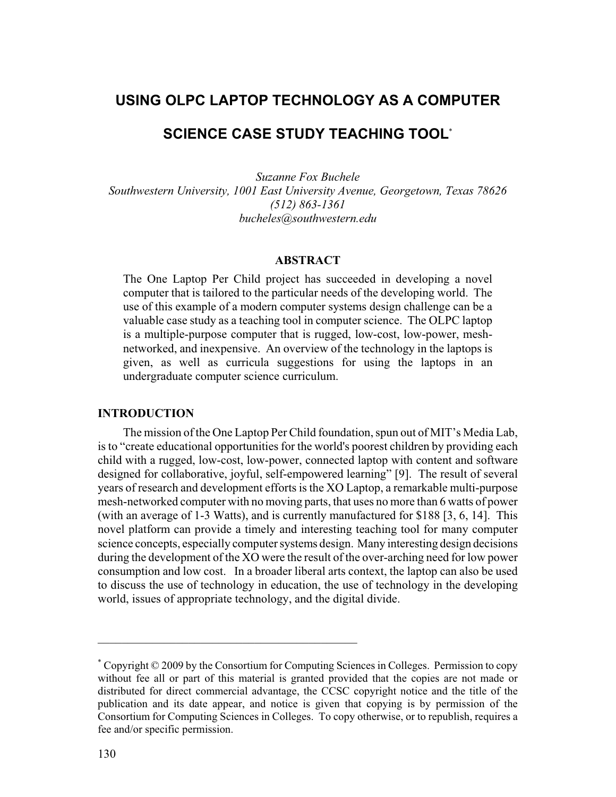# **USING OLPC LAPTOP TECHNOLOGY AS A COMPUTER**

# **SCIENCE CASE STUDY TEACHING TOOL**\*

*Suzanne Fox Buchele Southwestern University, 1001 East University Avenue, Georgetown, Texas 78626 (512) 863-1361 bucheles@southwestern.edu*

### **ABSTRACT**

The One Laptop Per Child project has succeeded in developing a novel computer that is tailored to the particular needs of the developing world. The use of this example of a modern computer systems design challenge can be a valuable case study as a teaching tool in computer science. The OLPC laptop is a multiple-purpose computer that is rugged, low-cost, low-power, meshnetworked, and inexpensive. An overview of the technology in the laptops is given, as well as curricula suggestions for using the laptops in an undergraduate computer science curriculum.

#### **INTRODUCTION**

The mission of the One Laptop Per Child foundation, spun out of MIT's Media Lab, is to "create educational opportunities for the world's poorest children by providing each child with a rugged, low-cost, low-power, connected laptop with content and software designed for collaborative, joyful, self-empowered learning" [9]. The result of several years of research and development efforts is the XO Laptop, a remarkable multi-purpose mesh-networked computer with no moving parts, that uses no more than 6 watts of power (with an average of 1-3 Watts), and is currently manufactured for \$188 [3, 6, 14]. This novel platform can provide a timely and interesting teaching tool for many computer science concepts, especially computer systems design. Many interesting design decisions during the development of the XO were the result of the over-arching need for low power consumption and low cost. In a broader liberal arts context, the laptop can also be used to discuss the use of technology in education, the use of technology in the developing world, issues of appropriate technology, and the digital divide.

<sup>\*</sup> Copyright © 2009 by the Consortium for Computing Sciences in Colleges. Permission to copy without fee all or part of this material is granted provided that the copies are not made or distributed for direct commercial advantage, the CCSC copyright notice and the title of the publication and its date appear, and notice is given that copying is by permission of the Consortium for Computing Sciences in Colleges. To copy otherwise, or to republish, requires a fee and/or specific permission.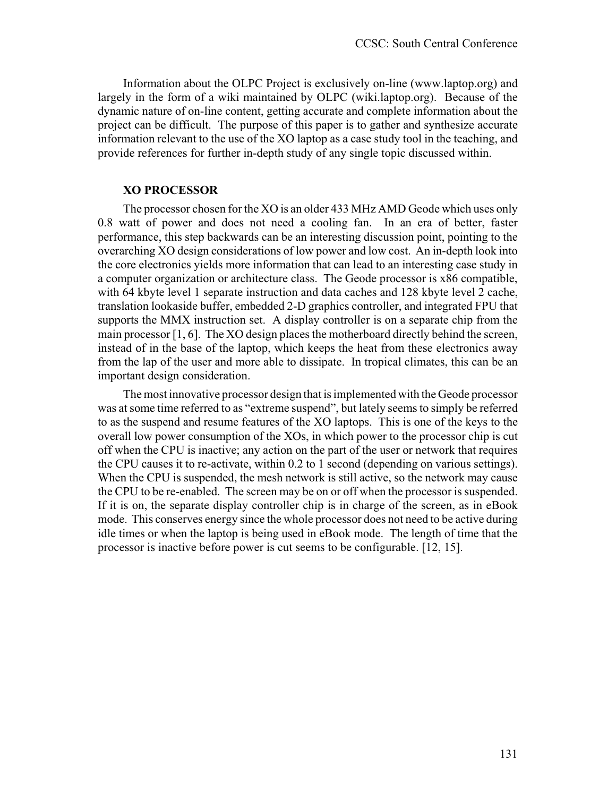Information about the OLPC Project is exclusively on-line (www.laptop.org) and largely in the form of a wiki maintained by OLPC (wiki.laptop.org). Because of the dynamic nature of on-line content, getting accurate and complete information about the project can be difficult. The purpose of this paper is to gather and synthesize accurate information relevant to the use of the XO laptop as a case study tool in the teaching, and provide references for further in-depth study of any single topic discussed within.

# **XO PROCESSOR**

The processor chosen for the XO is an older 433 MHz AMD Geode which uses only 0.8 watt of power and does not need a cooling fan. In an era of better, faster performance, this step backwards can be an interesting discussion point, pointing to the overarching XO design considerations of low power and low cost. An in-depth look into the core electronics yields more information that can lead to an interesting case study in a computer organization or architecture class. The Geode processor is x86 compatible, with 64 kbyte level 1 separate instruction and data caches and 128 kbyte level 2 cache, translation lookaside buffer, embedded 2-D graphics controller, and integrated FPU that supports the MMX instruction set. A display controller is on a separate chip from the main processor [1, 6]. The XO design places the motherboard directly behind the screen, instead of in the base of the laptop, which keeps the heat from these electronics away from the lap of the user and more able to dissipate. In tropical climates, this can be an important design consideration.

The most innovative processor design that is implemented with the Geode processor was at some time referred to as "extreme suspend", but lately seems to simply be referred to as the suspend and resume features of the XO laptops. This is one of the keys to the overall low power consumption of the XOs, in which power to the processor chip is cut off when the CPU is inactive; any action on the part of the user or network that requires the CPU causes it to re-activate, within 0.2 to 1 second (depending on various settings). When the CPU is suspended, the mesh network is still active, so the network may cause the CPU to be re-enabled. The screen may be on or off when the processor is suspended. If it is on, the separate display controller chip is in charge of the screen, as in eBook mode. This conserves energy since the whole processor does not need to be active during idle times or when the laptop is being used in eBook mode. The length of time that the processor is inactive before power is cut seems to be configurable. [12, 15].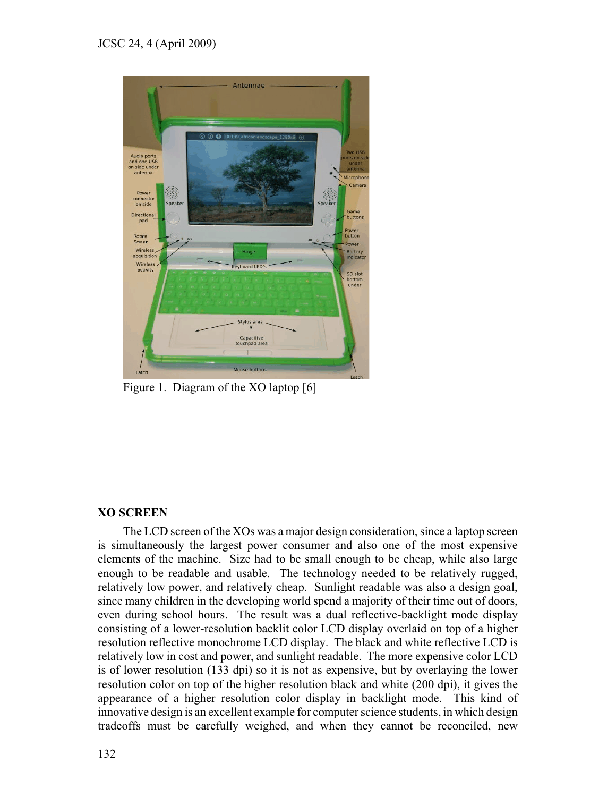

Figure 1. Diagram of the XO laptop [6]

# **XO SCREEN**

The LCD screen of the XOs was a major design consideration, since a laptop screen is simultaneously the largest power consumer and also one of the most expensive elements of the machine. Size had to be small enough to be cheap, while also large enough to be readable and usable. The technology needed to be relatively rugged, relatively low power, and relatively cheap. Sunlight readable was also a design goal, since many children in the developing world spend a majority of their time out of doors, even during school hours. The result was a dual reflective-backlight mode display consisting of a lower-resolution backlit color LCD display overlaid on top of a higher resolution reflective monochrome LCD display. The black and white reflective LCD is relatively low in cost and power, and sunlight readable. The more expensive color LCD is of lower resolution (133 dpi) so it is not as expensive, but by overlaying the lower resolution color on top of the higher resolution black and white (200 dpi), it gives the appearance of a higher resolution color display in backlight mode. This kind of innovative design is an excellent example for computer science students, in which design tradeoffs must be carefully weighed, and when they cannot be reconciled, new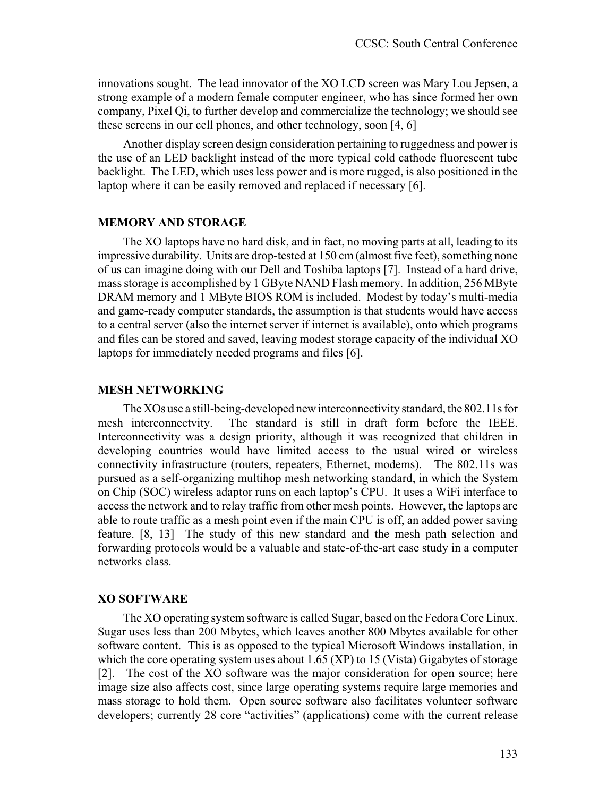innovations sought. The lead innovator of the XO LCD screen was Mary Lou Jepsen, a strong example of a modern female computer engineer, who has since formed her own company, Pixel Qi, to further develop and commercialize the technology; we should see these screens in our cell phones, and other technology, soon [4, 6]

Another display screen design consideration pertaining to ruggedness and power is the use of an LED backlight instead of the more typical cold cathode fluorescent tube backlight. The LED, which uses less power and is more rugged, is also positioned in the laptop where it can be easily removed and replaced if necessary [6].

#### **MEMORY AND STORAGE**

The XO laptops have no hard disk, and in fact, no moving parts at all, leading to its impressive durability. Units are drop-tested at 150 cm (almost five feet), something none of us can imagine doing with our Dell and Toshiba laptops [7]. Instead of a hard drive, mass storage is accomplished by 1 GByte NAND Flash memory. In addition, 256 MByte DRAM memory and 1 MByte BIOS ROM is included. Modest by today's multi-media and game-ready computer standards, the assumption is that students would have access to a central server (also the internet server if internet is available), onto which programs and files can be stored and saved, leaving modest storage capacity of the individual XO laptops for immediately needed programs and files [6].

#### **MESH NETWORKING**

The XOs use a still-being-developed new interconnectivity standard, the 802.11s for mesh interconnectvity. The standard is still in draft form before the IEEE. Interconnectivity was a design priority, although it was recognized that children in developing countries would have limited access to the usual wired or wireless connectivity infrastructure (routers, repeaters, Ethernet, modems). The 802.11s was pursued as a self-organizing multihop mesh networking standard, in which the System on Chip (SOC) wireless adaptor runs on each laptop's CPU. It uses a WiFi interface to access the network and to relay traffic from other mesh points. However, the laptops are able to route traffic as a mesh point even if the main CPU is off, an added power saving feature. [8, 13] The study of this new standard and the mesh path selection and forwarding protocols would be a valuable and state-of-the-art case study in a computer networks class.

#### **XO SOFTWARE**

The XO operating system software is called Sugar, based on the Fedora Core Linux. Sugar uses less than 200 Mbytes, which leaves another 800 Mbytes available for other software content. This is as opposed to the typical Microsoft Windows installation, in which the core operating system uses about 1.65 (XP) to 15 (Vista) Gigabytes of storage [2]. The cost of the XO software was the major consideration for open source; here image size also affects cost, since large operating systems require large memories and mass storage to hold them. Open source software also facilitates volunteer software developers; currently 28 core "activities" (applications) come with the current release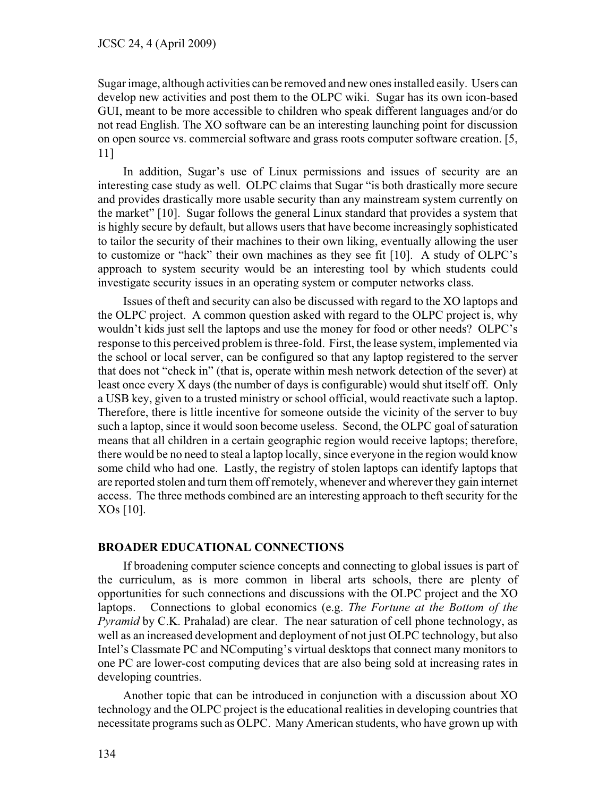Sugar image, although activities can be removed and new ones installed easily. Users can develop new activities and post them to the OLPC wiki. Sugar has its own icon-based GUI, meant to be more accessible to children who speak different languages and/or do not read English. The XO software can be an interesting launching point for discussion on open source vs. commercial software and grass roots computer software creation. [5, 11]

In addition, Sugar's use of Linux permissions and issues of security are an interesting case study as well. OLPC claims that Sugar "is both drastically more secure and provides drastically more usable security than any mainstream system currently on the market" [10]. Sugar follows the general Linux standard that provides a system that is highly secure by default, but allows users that have become increasingly sophisticated to tailor the security of their machines to their own liking, eventually allowing the user to customize or "hack" their own machines as they see fit [10]. A study of OLPC's approach to system security would be an interesting tool by which students could investigate security issues in an operating system or computer networks class.

Issues of theft and security can also be discussed with regard to the XO laptops and the OLPC project. A common question asked with regard to the OLPC project is, why wouldn't kids just sell the laptops and use the money for food or other needs? OLPC's response to this perceived problem is three-fold. First, the lease system, implemented via the school or local server, can be configured so that any laptop registered to the server that does not "check in" (that is, operate within mesh network detection of the sever) at least once every X days (the number of days is configurable) would shut itself off. Only a USB key, given to a trusted ministry or school official, would reactivate such a laptop. Therefore, there is little incentive for someone outside the vicinity of the server to buy such a laptop, since it would soon become useless. Second, the OLPC goal of saturation means that all children in a certain geographic region would receive laptops; therefore, there would be no need to steal a laptop locally, since everyone in the region would know some child who had one. Lastly, the registry of stolen laptops can identify laptops that are reported stolen and turn them off remotely, whenever and wherever they gain internet access. The three methods combined are an interesting approach to theft security for the XOs [10].

# **BROADER EDUCATIONAL CONNECTIONS**

If broadening computer science concepts and connecting to global issues is part of the curriculum, as is more common in liberal arts schools, there are plenty of opportunities for such connections and discussions with the OLPC project and the XO laptops. Connections to global economics (e.g. *The Fortune at the Bottom of the Pyramid* by C.K. Prahalad) are clear. The near saturation of cell phone technology, as well as an increased development and deployment of not just OLPC technology, but also Intel's Classmate PC and NComputing's virtual desktops that connect many monitors to one PC are lower-cost computing devices that are also being sold at increasing rates in developing countries.

Another topic that can be introduced in conjunction with a discussion about XO technology and the OLPC project is the educational realities in developing countries that necessitate programs such as OLPC. Many American students, who have grown up with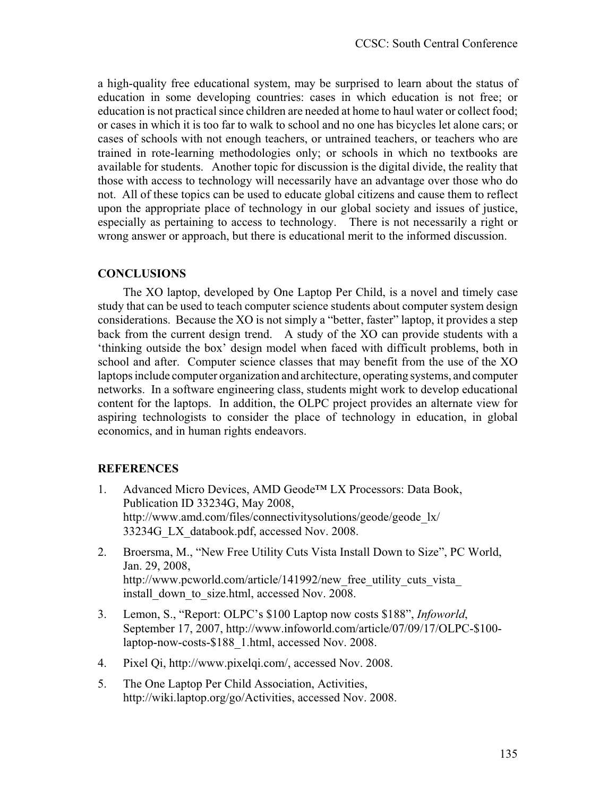a high-quality free educational system, may be surprised to learn about the status of education in some developing countries: cases in which education is not free; or education is not practical since children are needed at home to haul water or collect food; or cases in which it is too far to walk to school and no one has bicycles let alone cars; or cases of schools with not enough teachers, or untrained teachers, or teachers who are trained in rote-learning methodologies only; or schools in which no textbooks are available for students. Another topic for discussion is the digital divide, the reality that those with access to technology will necessarily have an advantage over those who do not. All of these topics can be used to educate global citizens and cause them to reflect upon the appropriate place of technology in our global society and issues of justice, especially as pertaining to access to technology. There is not necessarily a right or wrong answer or approach, but there is educational merit to the informed discussion.

# **CONCLUSIONS**

The XO laptop, developed by One Laptop Per Child, is a novel and timely case study that can be used to teach computer science students about computer system design considerations. Because the XO is not simply a "better, faster" laptop, it provides a step back from the current design trend. A study of the XO can provide students with a 'thinking outside the box' design model when faced with difficult problems, both in school and after. Computer science classes that may benefit from the use of the XO laptops include computer organization and architecture, operating systems, and computer networks. In a software engineering class, students might work to develop educational content for the laptops. In addition, the OLPC project provides an alternate view for aspiring technologists to consider the place of technology in education, in global economics, and in human rights endeavors.

# **REFERENCES**

- 1. Advanced Micro Devices, AMD Geode™ LX Processors: Data Book, Publication ID 33234G, May 2008, http://www.amd.com/files/connectivitysolutions/geode/geode\_lx/ 33234G\_LX\_databook.pdf, accessed Nov. 2008.
- 2. Broersma, M., "New Free Utility Cuts Vista Install Down to Size", PC World, Jan. 29, 2008, http://www.pcworld.com/article/141992/new free utility cuts vista install\_down\_to\_size.html, accessed Nov. 2008.
- 3. Lemon, S., "Report: OLPC's \$100 Laptop now costs \$188", *Infoworld*, September 17, 2007, http://www.infoworld.com/article/07/09/17/OLPC-\$100 laptop-now-costs-\$188\_1.html, accessed Nov. 2008.
- 4. Pixel Qi, http://www.pixelqi.com/, accessed Nov. 2008.
- 5. The One Laptop Per Child Association, Activities, http://wiki.laptop.org/go/Activities, accessed Nov. 2008.